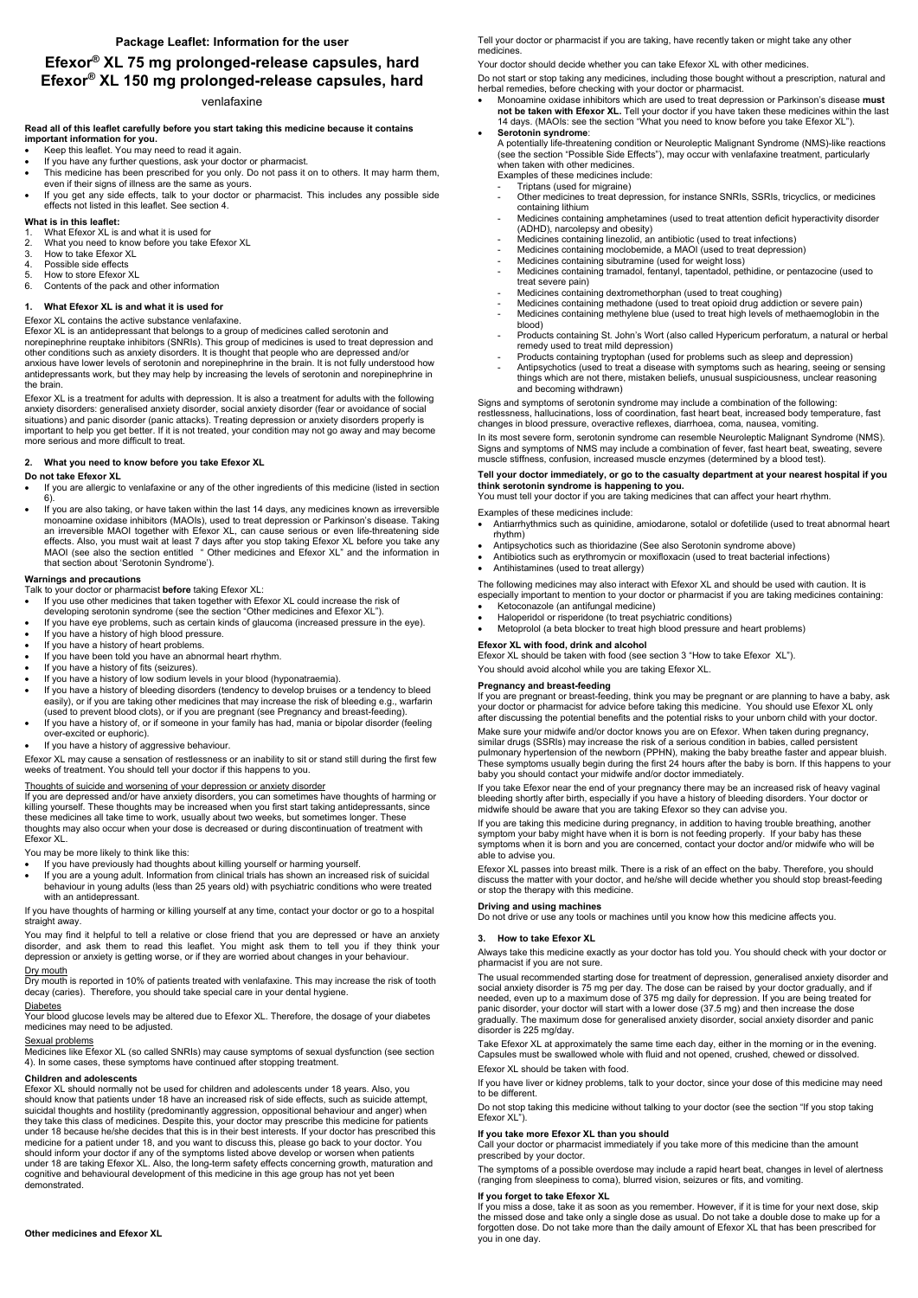# **Efexor® XL 75 mg prolonged-release capsules, hard Efexor® XL 150 mg prolonged-release capsules, hard**

# venlafaxine

#### **Read all of this leaflet carefully before you start taking this medicine because it contains important information for you.**

- Keep this leaflet. You may need to read it again.
- If you have any further questions, ask your doctor or pharmacist.
- This medicine has been prescribed for you only. Do not pass it on to others. It may harm them, even if their signs of illness are the same as yours.
- If you get any side effects, talk to your doctor or pharmacist. This includes any possible side effects not listed in this leaflet. See section 4.

# **What is in this leaflet:**

- 1. What Efexor XL is and what it is used for
- 2. What you need to know before you take Efexor XL
- 3. How to take Efexor XL
- 4. Possible side effects
- 5. How to store Efexor XL
- 6. Contents of the pack and other information

# **1. What Efexor XL is and what it is used for**

# Efexor XL contains the active substance venlafaxine.

Efexor XL is an antidepressant that belongs to a group of medicines called serotonin and norepinephrine reuptake inhibitors (SNRIs). This group of medicines is used to treat depression and other conditions such as anxiety disorders. It is thought that people who are depressed and/or anxious have lower levels of serotonin and norepinephrine in the brain. It is not fully understood how antidepressants work, but they may help by increasing the levels of serotonin and norepinephrine in the brain.

Efexor XL is a treatment for adults with depression. It is also a treatment for adults with the following anxiety disorders: generalised anxiety disorder, social anxiety disorder (fear or avoidance of social situations) and panic disorder (panic attacks). Treating depression or anxiety disorders properly is important to help you get better. If it is not treated, your condition may not go away and may become more serious and more difficult to treat.

# **2. What you need to know before you take Efexor XL**

# **Do not take Efexor XL**

- If you are allergic to venlafaxine or any of the other ingredients of this medicine (listed in section 6).
- If you are also taking, or have taken within the last 14 days, any medicines known as irreversible monoamine oxidase inhibitors (MAOIs), used to treat depression or Parkinson's disease. Taking an irreversible MAOI together with Efexor XL, can cause serious or even life-threatening side effects. Also, you must wait at least 7 days after you stop taking Efexor XL before you take any MAOI (see also the section entitled " Other medicines and Efexor XL" and the information in that section about 'Serotonin Syndrome').

You may find it helpful to tell a relative or close friend that you are depressed or have an anxiety disorder, and ask them to read this leaflet. You might ask them to tell you if they think your depression or anxiety is getting worse, or if they are worried about changes in your behaviour. Dry mouth

# **Warnings and precautions**

Talk to your doctor or pharmacist **before** taking Efexor XL:

- If you use other medicines that taken together with Efexor XL could increase the risk of developing serotonin syndrome (see the section "Other medicines and Efexor XL").
- If you have eye problems, such as certain kinds of glaucoma (increased pressure in the eye).
- If you have a history of high blood pressure.
- If you have a history of heart problems.
- If you have been told you have an abnormal heart rhythm.
- If you have a history of fits (seizures).
- If you have a history of low sodium levels in your blood (hyponatraemia).
- If you have a history of bleeding disorders (tendency to develop bruises or a tendency to bleed easily), or if you are taking other medicines that may increase the risk of bleeding e.g., warfarin (used to prevent blood clots), or if you are pregnant (see Pregnancy and breast-feeding).
- If you have a history of, or if someone in your family has had, mania or bipolar disorder (feeling over-excited or euphoric).
- If you have a history of aggressive behaviour.

Efexor XL may cause a sensation of restlessness or an inability to sit or stand still during the first few weeks of treatment. You should tell your doctor if this happens to you.

# Thoughts of suicide and worsening of your depression or anxiety disorder

If you are depressed and/or have anxiety disorders, you can sometimes have thoughts of harming or killing yourself. These thoughts may be increased when you first start taking antidepressants, since these medicines all take time to work, usually about two weeks, but sometimes longer. These thoughts may also occur when your dose is decreased or during discontinuation of treatment with Efexor XL.

You may be more likely to think like this:

- If you have previously had thoughts about killing yourself or harming yourself.
- If you are a young adult. Information from clinical trials has shown an increased risk of suicidal behaviour in young adults (less than 25 years old) with psychiatric conditions who were treated with an antidepressant.

If you have thoughts of harming or killing yourself at any time, contact your doctor or go to a hospital straight away.

Dry mouth is reported in 10% of patients treated with venlafaxine. This may increase the risk of tooth decay (caries). Therefore, you should take special care in your dental hygiene.

#### **Diabetes**

Your blood glucose levels may be altered due to Efexor XL. Therefore, the dosage of your diabetes medicines may need to be adjusted.

#### Sexual problems

Medicines like Efexor XL (so called SNRIs) may cause symptoms of sexual dysfunction (see section 4). In some cases, these symptoms have continued after stopping treatment.

# **Children and adolescents**

Efexor XL should normally not be used for children and adolescents under 18 years. Also, you should know that patients under 18 have an increased risk of side effects, such as suicide attempt, suicidal thoughts and hostility (predominantly aggression, oppositional behaviour and anger) when they take this class of medicines. Despite this, your doctor may prescribe this medicine for patients under 18 because he/she decides that this is in their best interests. If your doctor has prescribed this medicine for a patient under 18, and you want to discuss this, please go back to your doctor. You should inform your doctor if any of the symptoms listed above develop or worsen when patients under 18 are taking Efexor XL. Also, the long-term safety effects concerning growth, maturation and cognitive and behavioural development of this medicine in this age group has not yet been demonstrated.

**Other medicines and Efexor XL**

Tell your doctor or pharmacist if you are taking, have recently taken or might take any other medicines.

Your doctor should decide whether you can take Efexor XL with other medicines.

Do not start or stop taking any medicines, including those bought without a prescription, natural and herbal remedies, before checking with your doctor or pharmacist.

 Monoamine oxidase inhibitors which are used to treat depression or Parkinson's disease **must not be taken with Efexor XL.** Tell your doctor if you have taken these medicines within the last 14 days. (MAOIs: see the section "What you need to know before you take Efexor XL").

#### **Serotonin syndrome**:

A potentially life-threatening condition or Neuroleptic Malignant Syndrome (NMS)-like reactions (see the section "Possible Side Effects"), may occur with venlafaxine treatment, particularly when taken with other medicines.

- Examples of these medicines include:
- Triptans (used for migraine)
- Other medicines to treat depression, for instance SNRIs, SSRIs, tricyclics, or medicines containing lithium
- Medicines containing amphetamines (used to treat attention deficit hyperactivity disorder (ADHD), narcolepsy and obesity)
- Medicines containing linezolid, an antibiotic (used to treat infections)
- Medicines containing moclobemide, a MAOI (used to treat depression)
- Medicines containing sibutramine (used for weight loss)
- Medicines containing tramadol, fentanyl, tapentadol, pethidine, or pentazocine (used to treat severe pain)
- Medicines containing dextromethorphan (used to treat coughing)
- Medicines containing methadone (used to treat opioid drug addiction or severe pain) Medicines containing methylene blue (used to treat high levels of methaemoglobin in the
- blood) Products containing St. John's Wort (also called Hypericum perforatum, a natural or herbal remedy used to treat mild depression)
- Products containing tryptophan (used for problems such as sleep and depression)
- Antipsychotics (used to treat a disease with symptoms such as hearing, seeing or sensing things which are not there, mistaken beliefs, unusual suspiciousness, unclear reasoning and becoming withdrawn)

Signs and symptoms of serotonin syndrome may include a combination of the following: restlessness, hallucinations, loss of coordination, fast heart beat, increased body temperature, fast changes in blood pressure, overactive reflexes, diarrhoea, coma, nausea, vomiting.

In its most severe form, serotonin syndrome can resemble Neuroleptic Malignant Syndrome (NMS). Signs and symptoms of NMS may include a combination of fever, fast heart beat, sweating, severe muscle stiffness, confusion, increased muscle enzymes (determined by a blood test).

# **Tell your doctor immediately, or go to the casualty department at your nearest hospital if you think serotonin syndrome is happening to you.**

You must tell your doctor if you are taking medicines that can affect your heart rhythm.

Examples of these medicines include:

- Antiarrhythmics such as quinidine, amiodarone, sotalol or dofetilide (used to treat abnormal heart rhythm)
- Antipsychotics such as thioridazine (See also Serotonin syndrome above)
- Antibiotics such as erythromycin or moxifloxacin (used to treat bacterial infections)
- Antihistamines (used to treat allergy)

The following medicines may also interact with Efexor XL and should be used with caution. It is especially important to mention to your doctor or pharmacist if you are taking medicines containing:

- Ketoconazole (an antifungal medicine)
- Haloperidol or risperidone (to treat psychiatric conditions)
- Metoprolol (a beta blocker to treat high blood pressure and heart problems)

# **Efexor XL with food, drink and alcohol**

Efexor XL should be taken with food (see section 3 "How to take Efexor XL").

You should avoid alcohol while you are taking Efexor XL.

#### **Pregnancy and breast-feeding**

If you are pregnant or breast-feeding, think you may be pregnant or are planning to have a baby, ask your doctor or pharmacist for advice before taking this medicine. You should use Efexor XL only after discussing the potential benefits and the potential risks to your unborn child with your doctor.

Make sure your midwife and/or doctor knows you are on Efexor. When taken during pregnancy, similar drugs (SSRIs) may increase the risk of a serious condition in babies, called persistent pulmonary hypertension of the newborn (PPHN), making the baby breathe faster and appear bluish. These symptoms usually begin during the first 24 hours after the baby is born. If this happens to your baby you should contact your midwife and/or doctor immediately.

If you take Efexor near the end of your pregnancy there may be an increased risk of heavy vaginal bleeding shortly after birth, especially if you have a history of bleeding disorders. Your doctor or midwife should be aware that you are taking Efexor so they can advise you.

If you are taking this medicine during pregnancy, in addition to having trouble breathing, another symptom your baby might have when it is born is not feeding properly. If your baby has these symptoms when it is born and you are concerned, contact your doctor and/or midwife who will be able to advise you.

Efexor XL passes into breast milk. There is a risk of an effect on the baby. Therefore, you should discuss the matter with your doctor, and he/she will decide whether you should stop breast-feeding or stop the therapy with this medicine.

# **Driving and using machines**

Do not drive or use any tools or machines until you know how this medicine affects you.

# **3. How to take Efexor XL**

Always take this medicine exactly as your doctor has told you. You should check with your doctor or pharmacist if you are not sure.

The usual recommended starting dose for treatment of depression, generalised anxiety disorder and

social anxiety disorder is 75 mg per day. The dose can be raised by your doctor gradually, and if needed, even up to a maximum dose of 375 mg daily for depression. If you are being treated for panic disorder, your doctor will start with a lower dose (37.5 mg) and then increase the dose gradually. The maximum dose for generalised anxiety disorder, social anxiety disorder and panic disorder is 225 mg/day.

Take Efexor XL at approximately the same time each day, either in the morning or in the evening. Capsules must be swallowed whole with fluid and not opened, crushed, chewed or dissolved.

Efexor XL should be taken with food.

If you have liver or kidney problems, talk to your doctor, since your dose of this medicine may need to be different.

Do not stop taking this medicine without talking to your doctor (see the section "If you stop taking Efexor XL").

#### **If you take more Efexor XL than you should**

Call your doctor or pharmacist immediately if you take more of this medicine than the amount prescribed by your doctor.

The symptoms of a possible overdose may include a rapid heart beat, changes in level of alertness (ranging from sleepiness to coma), blurred vision, seizures or fits, and vomiting.

# **If you forget to take Efexor XL**

If you miss a dose, take it as soon as you remember. However, if it is time for your next dose, skip the missed dose and take only a single dose as usual. Do not take a double dose to make up for a forgotten dose. Do not take more than the daily amount of Efexor XL that has been prescribed for you in one day.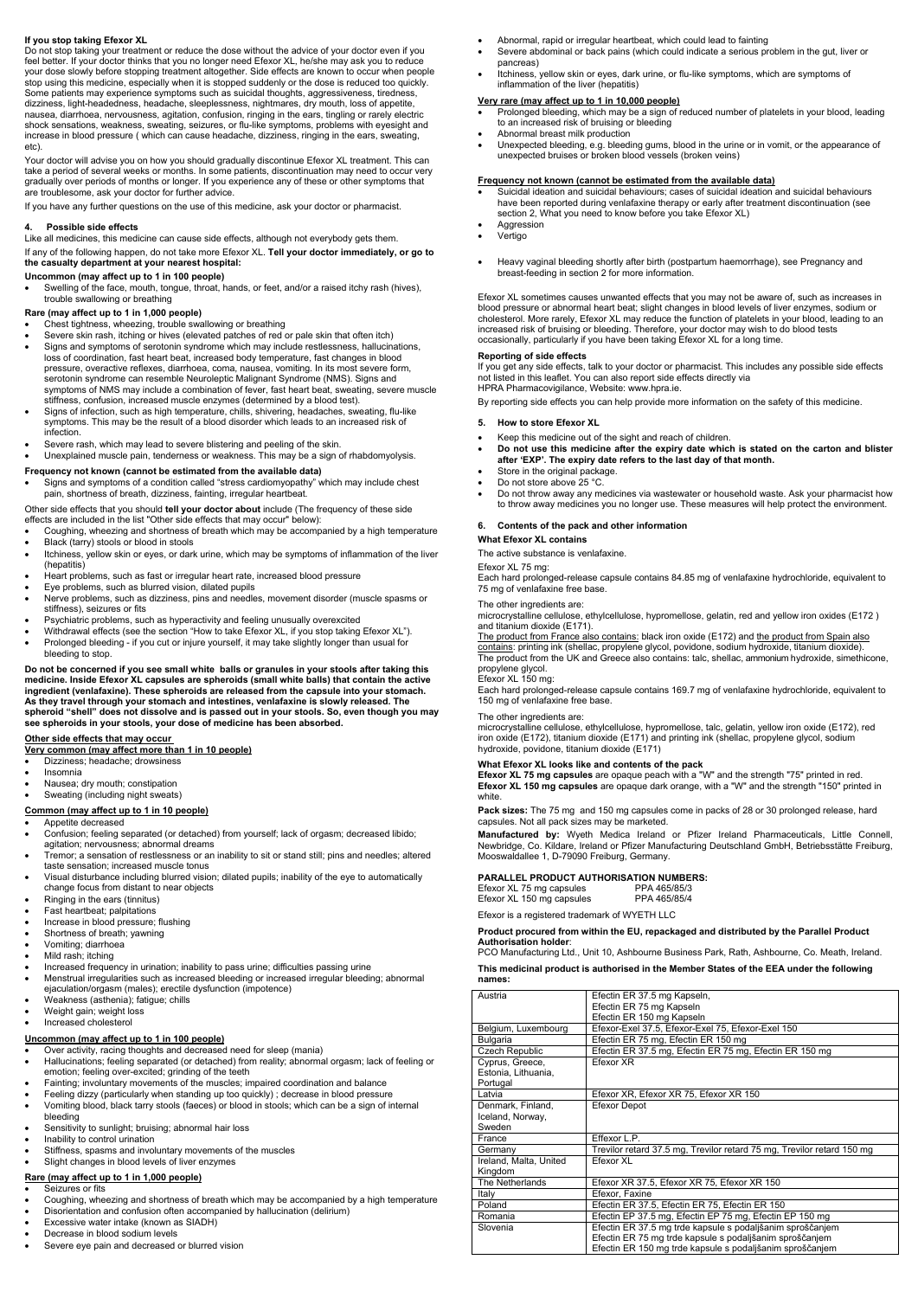# **If you stop taking Efexor XL**

Do not stop taking your treatment or reduce the dose without the advice of your doctor even if you feel better. If your doctor thinks that you no longer need Efexor XL, he/she may ask you to reduce your dose slowly before stopping treatment altogether. Side effects are known to occur when people stop using this medicine, especially when it is stopped suddenly or the dose is reduced too quickly. Some patients may experience symptoms such as suicidal thoughts, aggressiveness, tiredness, dizziness, light-headedness, headache, sleeplessness, nightmares, dry mouth, loss of appetite, nausea, diarrhoea, nervousness, agitation, confusion, ringing in the ears, tingling or rarely electric shock sensations, weakness, sweating, seizures, or flu-like symptoms, problems with eyesight and increase in blood pressure ( which can cause headache, dizziness, ringing in the ears, sweating, etc).

Your doctor will advise you on how you should gradually discontinue Efexor XL treatment. This can take a period of several weeks or months. In some patients, discontinuation may need to occur very gradually over periods of months or longer. If you experience any of these or other symptoms that are troublesome, ask your doctor for further advice.

If you have any further questions on the use of this medicine, ask your doctor or pharmacist.

# **4. Possible side effects**

Like all medicines, this medicine can cause side effects, although not everybody gets them.

If any of the following happen, do not take more Efexor XL. **Tell your doctor immediately, or go to the casualty department at your nearest hospital:** 

#### **Uncommon (may affect up to 1 in 100 people)**

 Swelling of the face, mouth, tongue, throat, hands, or feet, and/or a raised itchy rash (hives), trouble swallowing or breathing

# **Rare (may affect up to 1 in 1,000 people)**

- Chest tightness, wheezing, trouble swallowing or breathing
- Severe skin rash, itching or hives (elevated patches of red or pale skin that often itch)
- Signs and symptoms of serotonin syndrome which may include restlessness, hallucinations, loss of coordination, fast heart beat, increased body temperature, fast changes in blood pressure, overactive reflexes, diarrhoea, coma, nausea, vomiting. In its most severe form, serotonin syndrome can resemble Neuroleptic Malignant Syndrome (NMS). Signs and symptoms of NMS may include a combination of fever, fast heart beat, sweating, severe muscle stiffness, confusion, increased muscle enzymes (determined by a blood test).
- Signs of infection, such as high temperature, chills, shivering, headaches, sweating, flu-like symptoms. This may be the result of a blood disorder which leads to an increased risk of infection.
- Severe rash, which may lead to severe blistering and peeling of the skin.
- Unexplained muscle pain, tenderness or weakness. This may be a sign of rhabdomyolysis.

#### **Frequency not known (cannot be estimated from the available data)**

 Signs and symptoms of a condition called "stress cardiomyopathy" which may include chest pain, shortness of breath, dizziness, fainting, irregular heartbeat.

Other side effects that you should **tell your doctor about** include (The frequency of these side effects are included in the list "Other side effects that may occur" below):

- Coughing, wheezing and shortness of breath which may be accompanied by a high temperature Black (tarry) stools or blood in stools
- Itchiness, yellow skin or eyes, or dark urine, which may be symptoms of inflammation of the liver (hepatitis)
- Heart problems, such as fast or irregular heart rate, increased blood pressure
- Eye problems, such as blurred vision, dilated pupils
- Nerve problems, such as dizziness, pins and needles, movement disorder (muscle spasms or stiffness), seizures or fits
- Psychiatric problems, such as hyperactivity and feeling unusually overexcited
- Withdrawal effects (see the section "How to take Efexor XL, if you stop taking Efexor XL").
- Prolonged bleeding if you cut or injure yourself, it may take slightly longer than usual for bleeding to stop.

**Do not be concerned if you see small white balls or granules in your stools after taking this medicine. Inside Efexor XL capsules are spheroids (small white balls) that contain the active ingredient (venlafaxine). These spheroids are released from the capsule into your stomach. As they travel through your stomach and intestines, venlafaxine is slowly released. The spheroid "shell" does not dissolve and is passed out in your stools. So, even though you may see spheroids in your stools, your dose of medicine has been absorbed.**

# **Other side effects that may occur**

# **Very common (may affect more than 1 in 10 people)**

- Dizziness; headache; drowsiness
- Insomnia
- Nausea; dry mouth; constipation
- Sweating (including night sweats)

#### **Common (may affect up to 1 in 10 people)**

#### Appetite decreased

The product from France also contains: black iron oxide (E172) and the product from Spain also contains: printing ink (shellac, propylene glycol, povidone, sodium hydroxide, titanium dioxide). The product from the UK and Greece also contains: talc, shellac, ammonium hydroxide, simethicone, propylene glycol.

- Confusion; feeling separated (or detached) from yourself; lack of orgasm; decreased libido; agitation; nervousness; abnormal dreams
- Tremor; a sensation of restlessness or an inability to sit or stand still; pins and needles; altered taste sensation; increased muscle tonus
- Visual disturbance including blurred vision; dilated pupils; inability of the eye to automatically change focus from distant to near objects
- Ringing in the ears (tinnitus)
- Fast heartbeat; palpitations
- Increase in blood pressure; flushing
- Shortness of breath; yawning
- Vomiting; diarrhoea
- Mild rash; itching
- Increased frequency in urination; inability to pass urine; difficulties passing urine
- Menstrual irregularities such as increased bleeding or increased irregular bleeding; abnormal
- ejaculation/orgasm (males); erectile dysfunction (impotence)
- Weakness (asthenia); fatigue; chills
- Weight gain; weight loss
- Increased cholesterol

# **Uncommon (may affect up to 1 in 100 people)**

- Over activity, racing thoughts and decreased need for sleep (mania)
- Hallucinations; feeling separated (or detached) from reality; abnormal orgasm; lack of feeling or emotion; feeling over-excited; grinding of the teeth
- Fainting; involuntary movements of the muscles; impaired coordination and balance
- Feeling dizzy (particularly when standing up too quickly) ; decrease in blood pressure
- Vomiting blood, black tarry stools (faeces) or blood in stools; which can be a sign of internal bleeding
- Sensitivity to sunlight; bruising; abnormal hair loss
- Inability to control urination
- Stiffness, spasms and involuntary movements of the muscles
- Slight changes in blood levels of liver enzymes

# **Rare (may affect up to 1 in 1,000 people)**

- Seizures or fits
- Coughing, wheezing and shortness of breath which may be accompanied by a high temperature
- Disorientation and confusion often accompanied by hallucination (delirium)
- Excessive water intake (known as SIADH)
- Decrease in blood sodium levels
- Severe eye pain and decreased or blurred vision
- Abnormal, rapid or irregular heartbeat, which could lead to fainting
- Severe abdominal or back pains (which could indicate a serious problem in the gut, liver or pancreas)
- Itchiness, yellow skin or eyes, dark urine, or flu-like symptoms, which are symptoms of inflammation of the liver (hepatitis)

#### **Very rare (may affect up to 1 in 10,000 people)**

- Prolonged bleeding, which may be a sign of reduced number of platelets in your blood, leading to an increased risk of bruising or bleeding
- Abnormal breast milk production
- Unexpected bleeding, e.g. bleeding gums, blood in the urine or in vomit, or the appearance of unexpected bruises or broken blood vessels (broken veins)

# **Frequency not known (cannot be estimated from the available data)**

- Suicidal ideation and suicidal behaviours; cases of suicidal ideation and suicidal behaviours have been reported during venlafaxine therapy or early after treatment discontinuation (see section 2, What you need to know before you take Efexor XL)
- Aggression
- Vertigo
- Heavy vaginal bleeding shortly after birth (postpartum haemorrhage), see Pregnancy and breast-feeding in section 2 for more information.

Efexor XL sometimes causes unwanted effects that you may not be aware of, such as increases in blood pressure or abnormal heart beat; slight changes in blood levels of liver enzymes, sodium or cholesterol. More rarely, Efexor XL may reduce the function of platelets in your blood, leading to an increased risk of bruising or bleeding. Therefore, your doctor may wish to do blood tests occasionally, particularly if you have been taking Efexor XL for a long time.

#### **Reporting of side effects**

If you get any side effects, talk to your doctor or pharmacist. This includes any possible side effects not listed in this leaflet. You can also report side effects directly via HPRA Pharmacovigilance, Website: www.hpra.ie.

By reporting side effects you can help provide more information on the safety of this medicine.

#### **5. How to store Efexor XL**

- Keep this medicine out of the sight and reach of children.
- **Do not use this medicine after the expiry date which is stated on the carton and blister after 'EXP'. The expiry date refers to the last day of that month.**
- Store in the original package.
- Do not store above 25 °C.
- Do not throw away any medicines via wastewater or household waste. Ask your pharmacist how to throw away medicines you no longer use. These measures will help protect the environment.

#### **6. Contents of the pack and other information**

#### **What Efexor XL contains**

The active substance is venlafaxine.

# Efexor XL 75 mg:

Each hard prolonged-release capsule contains 84.85 mg of venlafaxine hydrochloride, equivalent to 75 mg of venlafaxine free base.

#### The other ingredients are:

microcrystalline cellulose, ethylcellulose, hypromellose, gelatin, red and yellow iron oxides (E172 ) and titanium dioxide (E171).

# Efexor XL 150 mg:

Each hard prolonged-release capsule contains 169.7 mg of venlafaxine hydrochloride, equivalent to 150 mg of venlafaxine free base.

#### The other ingredients are:

microcrystalline cellulose, ethylcellulose, hypromellose, talc, gelatin, yellow iron oxide (E172), red iron oxide (E172), titanium dioxide (E171) and printing ink (shellac, propylene glycol, sodium hydroxide, povidone, titanium dioxide (E171)

#### **What Efexor XL looks like and contents of the pack**

**Efexor XL 75 mg capsules** are opaque peach with a "W" and the strength "75" printed in red. **Efexor XL 150 mg capsules** are opaque dark orange, with a "W" and the strength "150" printed in white.

**Pack sizes:** The 75 mg and 150 mg capsules come in packs of 28 or 30 prolonged release, hard capsules. Not all pack sizes may be marketed.

**Manufactured by:** Wyeth Medica Ireland or Pfizer Ireland Pharmaceuticals, Little Connell, Newbridge, Co. Kildare, Ireland or Pfizer Manufacturing Deutschland GmbH, Betriebsstätte Freiburg, Mooswaldallee 1, D-79090 Freiburg, Germany.

# **PARALLEL PRODUCT AUTHORISATION NUMBERS:**

Efexor XL 75 mg capsules PPA 465/85/3<br>Efexor XL 150 mg capsules PPA 465/85/4

Efexor XL 150 mg capsules

Efexor is a registered trademark of WYETH LLC

#### **Product procured from within the EU, repackaged and distributed by the Parallel Product Authorisation holder**:

PCO Manufacturing Ltd., Unit 10, Ashbourne Business Park, Rath, Ashbourne, Co. Meath, Ireland.

**This medicinal product is authorised in the Member States of the EEA under the following** 

#### **names:**

| Austria                                            | Efectin ER 37.5 mg Kapseln,                                                                                                                                                      |
|----------------------------------------------------|----------------------------------------------------------------------------------------------------------------------------------------------------------------------------------|
|                                                    | Efectin ER 75 mg Kapseln                                                                                                                                                         |
|                                                    | Efectin ER 150 mg Kapseln                                                                                                                                                        |
| Belgium, Luxembourg                                | Efexor-Exel 37.5, Efexor-Exel 75, Efexor-Exel 150                                                                                                                                |
| <b>Bulgaria</b>                                    | Efectin ER 75 mg, Efectin ER 150 mg                                                                                                                                              |
| Czech Republic                                     | Efectin ER 37.5 mg, Efectin ER 75 mg, Efectin ER 150 mg                                                                                                                          |
| Cyprus, Greece,<br>Estonia, Lithuania,<br>Portugal | Efexor XR                                                                                                                                                                        |
| Latvia                                             | Efexor XR, Efexor XR 75, Efexor XR 150                                                                                                                                           |
| Denmark, Finland,<br>Iceland, Norway,<br>Sweden    | Efexor Depot                                                                                                                                                                     |
| France                                             | Effexor L.P.                                                                                                                                                                     |
| Germany                                            | Trevilor retard 37.5 mg, Trevilor retard 75 mg, Trevilor retard 150 mg                                                                                                           |
| Ireland, Malta, United<br>Kingdom                  | Ffexor XI                                                                                                                                                                        |
| The Netherlands                                    | Efexor XR 37.5, Efexor XR 75, Efexor XR 150                                                                                                                                      |
| Italy                                              | Efexor, Faxine                                                                                                                                                                   |
| Poland                                             | Efectin ER 37.5, Efectin ER 75, Efectin ER 150                                                                                                                                   |
| Romania                                            | Efectin EP 37.5 mg, Efectin EP 75 mg, Efectin EP 150 mg                                                                                                                          |
| Slovenia                                           | Efectin ER 37.5 mg trde kapsule s podaljšanim sproščanjem<br>Efectin ER 75 mg trde kapsule s podaljšanim sproščanjem<br>Efectin ER 150 mg trde kapsule s podaljšanim sproščanjem |
|                                                    |                                                                                                                                                                                  |